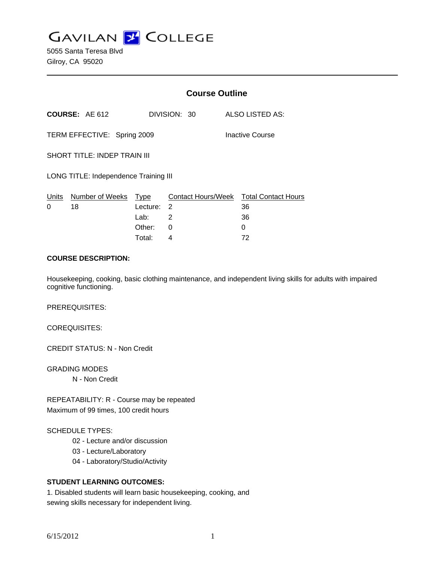**GAVILAN J' COLLEGE** 

|                                       |                                  | <b>Course Outline</b> |              |                                              |
|---------------------------------------|----------------------------------|-----------------------|--------------|----------------------------------------------|
|                                       | COURSE: AE 612                   |                       | DIVISION: 30 | ALSO LISTED AS:                              |
| TERM EFFECTIVE: Spring 2009           |                                  |                       |              | <b>Inactive Course</b>                       |
| <b>SHORT TITLE: INDEP TRAIN III</b>   |                                  |                       |              |                                              |
| LONG TITLE: Independence Training III |                                  |                       |              |                                              |
| 0                                     | Units Number of Weeks Type<br>18 | Lecture: 2            |              | Contact Hours/Week Total Contact Hours<br>36 |
|                                       |                                  | Lab:                  | 2            | 36                                           |
|                                       |                                  | Other:                | 0            | 0                                            |
|                                       |                                  | Total:                | 4            | 72                                           |

#### **COURSE DESCRIPTION:**

Housekeeping, cooking, basic clothing maintenance, and independent living skills for adults with impaired cognitive functioning.

PREREQUISITES:

COREQUISITES:

CREDIT STATUS: N - Non Credit

GRADING MODES N - Non Credit

REPEATABILITY: R - Course may be repeated Maximum of 99 times, 100 credit hours

## SCHEDULE TYPES:

- 02 Lecture and/or discussion
- 03 Lecture/Laboratory
- 04 Laboratory/Studio/Activity

## **STUDENT LEARNING OUTCOMES:**

1. Disabled students will learn basic housekeeping, cooking, and sewing skills necessary for independent living.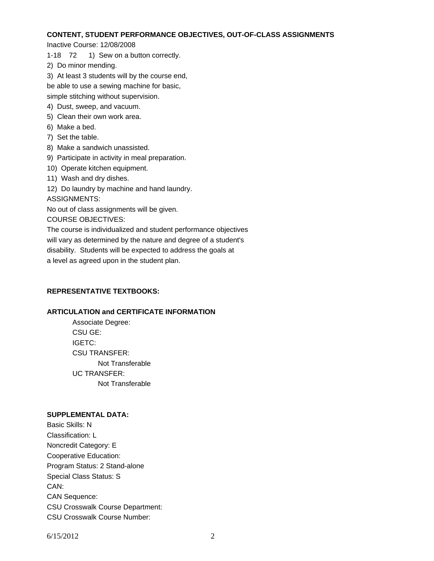# **CONTENT, STUDENT PERFORMANCE OBJECTIVES, OUT-OF-CLASS ASSIGNMENTS**

Inactive Course: 12/08/2008

- 1-18 72 1) Sew on a button correctly.
- 2) Do minor mending.
- 3) At least 3 students will by the course end,
- be able to use a sewing machine for basic,

simple stitching without supervision.

- 4) Dust, sweep, and vacuum.
- 5) Clean their own work area.
- 6) Make a bed.
- 7) Set the table.
- 8) Make a sandwich unassisted.
- 9) Participate in activity in meal preparation.
- 10) Operate kitchen equipment.
- 11) Wash and dry dishes.

12) Do laundry by machine and hand laundry.

ASSIGNMENTS:

No out of class assignments will be given.

COURSE OBJECTIVES:

The course is individualized and student performance objectives will vary as determined by the nature and degree of a student's disability. Students will be expected to address the goals at a level as agreed upon in the student plan.

## **REPRESENTATIVE TEXTBOOKS:**

## **ARTICULATION and CERTIFICATE INFORMATION**

 Not Transferable UC TRANSFER: Not Transferable Associate Degree: CSU GE: IGETC: CSU TRANSFER:

## **SUPPLEMENTAL DATA:**

Basic Skills: N Classification: L Noncredit Category: E Cooperative Education: Program Status: 2 Stand-alone Special Class Status: S CAN: CAN Sequence: CSU Crosswalk Course Department: CSU Crosswalk Course Number: